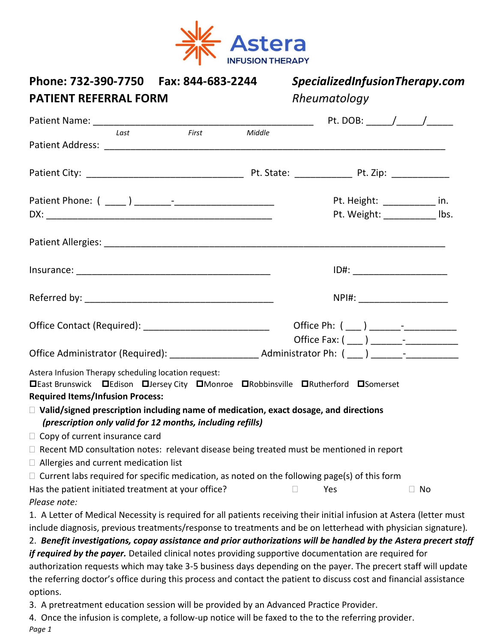

| Phone: 732-390-7750    Fax: 844-683-2244<br><b>PATIENT REFERRAL FORM</b>                                                                                                                                                                                                                                                                                                                                                                                                                                                                                                                                                                                                                                               |        | SpecializedInfusionTherapy.com<br>Rheumatology               |
|------------------------------------------------------------------------------------------------------------------------------------------------------------------------------------------------------------------------------------------------------------------------------------------------------------------------------------------------------------------------------------------------------------------------------------------------------------------------------------------------------------------------------------------------------------------------------------------------------------------------------------------------------------------------------------------------------------------------|--------|--------------------------------------------------------------|
| Patient Name: 1990 and 200 and 200 and 200 and 200 and 200 and 200 and 200 and 200 and 200 and 200 and 200 and                                                                                                                                                                                                                                                                                                                                                                                                                                                                                                                                                                                                         |        |                                                              |
| Last<br>First                                                                                                                                                                                                                                                                                                                                                                                                                                                                                                                                                                                                                                                                                                          | Middle |                                                              |
|                                                                                                                                                                                                                                                                                                                                                                                                                                                                                                                                                                                                                                                                                                                        |        |                                                              |
|                                                                                                                                                                                                                                                                                                                                                                                                                                                                                                                                                                                                                                                                                                                        |        | Pt. Height: ___________ in.<br>Pt. Weight: ____________ lbs. |
|                                                                                                                                                                                                                                                                                                                                                                                                                                                                                                                                                                                                                                                                                                                        |        |                                                              |
|                                                                                                                                                                                                                                                                                                                                                                                                                                                                                                                                                                                                                                                                                                                        |        |                                                              |
|                                                                                                                                                                                                                                                                                                                                                                                                                                                                                                                                                                                                                                                                                                                        |        | NPI#: _______________________                                |
| Office Contact (Required): ___________________________                                                                                                                                                                                                                                                                                                                                                                                                                                                                                                                                                                                                                                                                 |        |                                                              |
| Astera Infusion Therapy scheduling location request:<br><b>OLast Brunswick</b> DEdison <b>OLIENCEY City OMONTOE ORObbinsville ORutherford OSOMERSET</b><br><b>Required Items/Infusion Process:</b><br>$\Box$ Valid/signed prescription including name of medication, exact dosage, and directions<br>(prescription only valid for 12 months, including refills)<br>$\Box$ Copy of current insurance card                                                                                                                                                                                                                                                                                                               |        |                                                              |
| $\Box$ Recent MD consultation notes: relevant disease being treated must be mentioned in report<br>$\Box$ Allergies and current medication list                                                                                                                                                                                                                                                                                                                                                                                                                                                                                                                                                                        |        |                                                              |
| $\Box$ Current labs required for specific medication, as noted on the following page(s) of this form<br>Has the patient initiated treatment at your office?<br>Please note:                                                                                                                                                                                                                                                                                                                                                                                                                                                                                                                                            |        | Yes<br>$\Box$ No                                             |
| 1. A Letter of Medical Necessity is required for all patients receiving their initial infusion at Astera (letter must<br>include diagnosis, previous treatments/response to treatments and be on letterhead with physician signature).<br>2. Benefit investigations, copay assistance and prior authorizations will be handled by the Astera precert staff<br>if required by the payer. Detailed clinical notes providing supportive documentation are required for<br>authorization requests which may take 3-5 business days depending on the payer. The precert staff will update<br>the referring doctor's office during this process and contact the patient to discuss cost and financial assistance<br>options. |        |                                                              |
| 3. A pretreatment education session will be provided by an Advanced Practice Provider.<br>4. Once the infusion is complete, a follow-up notice will be faxed to the to the referring provider.<br>Page 1                                                                                                                                                                                                                                                                                                                                                                                                                                                                                                               |        |                                                              |